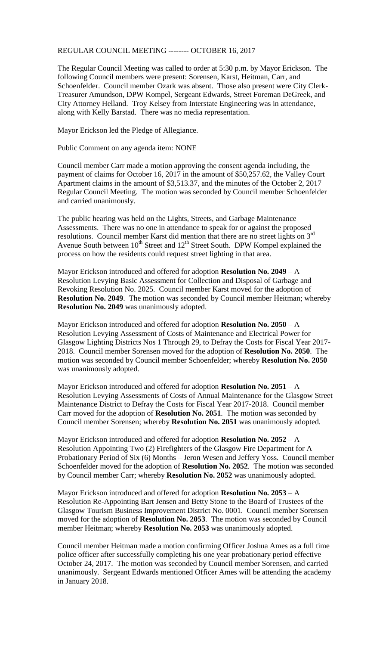## REGULAR COUNCIL MEETING -------- OCTOBER 16, 2017

The Regular Council Meeting was called to order at 5:30 p.m. by Mayor Erickson. The following Council members were present: Sorensen, Karst, Heitman, Carr, and Schoenfelder. Council member Ozark was absent. Those also present were City Clerk-Treasurer Amundson, DPW Kompel, Sergeant Edwards, Street Foreman DeGreek, and City Attorney Helland. Troy Kelsey from Interstate Engineering was in attendance, along with Kelly Barstad. There was no media representation.

Mayor Erickson led the Pledge of Allegiance.

Public Comment on any agenda item: NONE

Council member Carr made a motion approving the consent agenda including, the payment of claims for October 16, 2017 in the amount of \$50,257.62, the Valley Court Apartment claims in the amount of \$3,513.37, and the minutes of the October 2, 2017 Regular Council Meeting. The motion was seconded by Council member Schoenfelder and carried unanimously.

The public hearing was held on the Lights, Streets, and Garbage Maintenance Assessments. There was no one in attendance to speak for or against the proposed resolutions. Council member Karst did mention that there are no street lights on 3rd Avenue South between  $10^{th}$  Street and  $12^{th}$  Street South. DPW Kompel explained the process on how the residents could request street lighting in that area.

Mayor Erickson introduced and offered for adoption **Resolution No. 2049** – A Resolution Levying Basic Assessment for Collection and Disposal of Garbage and Revoking Resolution No. 2025. Council member Karst moved for the adoption of **Resolution No. 2049**. The motion was seconded by Council member Heitman; whereby **Resolution No. 2049** was unanimously adopted.

Mayor Erickson introduced and offered for adoption **Resolution No. 2050** – A Resolution Levying Assessment of Costs of Maintenance and Electrical Power for Glasgow Lighting Districts Nos 1 Through 29, to Defray the Costs for Fiscal Year 2017- 2018. Council member Sorensen moved for the adoption of **Resolution No. 2050**. The motion was seconded by Council member Schoenfelder; whereby **Resolution No. 2050** was unanimously adopted.

Mayor Erickson introduced and offered for adoption **Resolution No. 2051** – A Resolution Levying Assessments of Costs of Annual Maintenance for the Glasgow Street Maintenance District to Defray the Costs for Fiscal Year 2017-2018. Council member Carr moved for the adoption of **Resolution No. 2051**. The motion was seconded by Council member Sorensen; whereby **Resolution No. 2051** was unanimously adopted.

Mayor Erickson introduced and offered for adoption **Resolution No. 2052** – A Resolution Appointing Two (2) Firefighters of the Glasgow Fire Department for A Probationary Period of Six (6) Months – Jeron Wesen and Jeffery Yoss. Council member Schoenfelder moved for the adoption of **Resolution No. 2052**. The motion was seconded by Council member Carr; whereby **Resolution No. 2052** was unanimously adopted.

Mayor Erickson introduced and offered for adoption **Resolution No. 2053** – A Resolution Re-Appointing Bart Jensen and Betty Stone to the Board of Trustees of the Glasgow Tourism Business Improvement District No. 0001. Council member Sorensen moved for the adoption of **Resolution No. 2053**. The motion was seconded by Council member Heitman; whereby **Resolution No. 2053** was unanimously adopted.

Council member Heitman made a motion confirming Officer Joshua Ames as a full time police officer after successfully completing his one year probationary period effective October 24, 2017. The motion was seconded by Council member Sorensen, and carried unanimously. Sergeant Edwards mentioned Officer Ames will be attending the academy in January 2018.